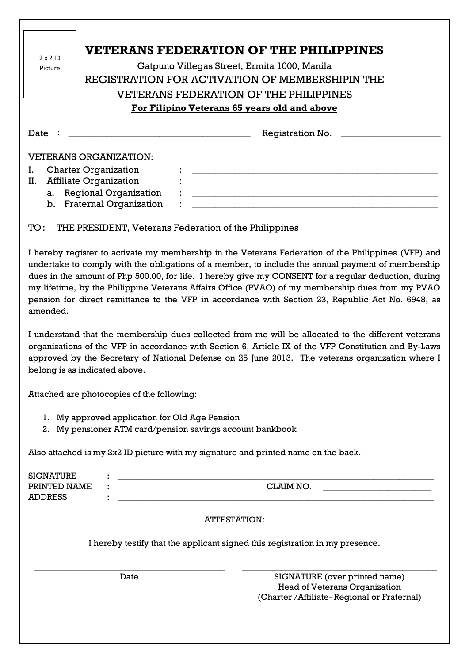| $2 \times 2$ ID<br>Picture                                                                                                                                                                                                                                                                                                                                                                                                                                                                                                            | <b>VETERANS FEDERATION OF THE PHILIPPINES</b><br>Gatpuno Villegas Street, Ermita 1000, Manila<br>REGISTRATION FOR ACTIVATION OF MEMBERSHIPIN THE<br>VETERANS FEDERATION OF THE PHILIPPINES |  |  |
|---------------------------------------------------------------------------------------------------------------------------------------------------------------------------------------------------------------------------------------------------------------------------------------------------------------------------------------------------------------------------------------------------------------------------------------------------------------------------------------------------------------------------------------|--------------------------------------------------------------------------------------------------------------------------------------------------------------------------------------------|--|--|
| For Filipino Veterans 65 years old and above                                                                                                                                                                                                                                                                                                                                                                                                                                                                                          |                                                                                                                                                                                            |  |  |
|                                                                                                                                                                                                                                                                                                                                                                                                                                                                                                                                       | Registration No.                                                                                                                                                                           |  |  |
| <b>VETERANS ORGANIZATION:</b><br>L.<br><b>Charter Organization</b><br><u> 1989 - Johann John Stein, market fan it ferskearre fan it ferskearre fan it ferskearre fan it ferskearre fan i</u><br><b>Affiliate Organization</b><br>П.<br><b>Regional Organization</b><br><u> 1989 - Johann Harry Harry Harry Harry Harry Harry Harry Harry Harry Harry Harry Harry Harry Harry Harry Harry</u><br>a.<br>b. Fraternal Organization                                                                                                       |                                                                                                                                                                                            |  |  |
| THE PRESIDENT, Veterans Federation of the Philippines<br>TO:                                                                                                                                                                                                                                                                                                                                                                                                                                                                          |                                                                                                                                                                                            |  |  |
| I hereby register to activate my membership in the Veterans Federation of the Philippines (VFP) and<br>undertake to comply with the obligations of a member, to include the annual payment of membership<br>dues in the amount of Php 500.00, for life. I hereby give my CONSENT for a regular deduction, during<br>my lifetime, by the Philippine Veterans Affairs Office (PVAO) of my membership dues from my PVAO<br>pension for direct remittance to the VFP in accordance with Section 23, Republic Act No. 6948, as<br>amended. |                                                                                                                                                                                            |  |  |
| I understand that the membership dues collected from me will be allocated to the different veterans<br>organizations of the VFP in accordance with Section 6, Article IX of the VFP Constitution and By-Laws<br>approved by the Secretary of National Defense on 25 June 2013. The veterans organization where I<br>belong is as indicated above.                                                                                                                                                                                     |                                                                                                                                                                                            |  |  |
| Attached are photocopies of the following:                                                                                                                                                                                                                                                                                                                                                                                                                                                                                            |                                                                                                                                                                                            |  |  |
| 1. My approved application for Old Age Pension<br>2. My pensioner ATM card/pension savings account bankbook                                                                                                                                                                                                                                                                                                                                                                                                                           |                                                                                                                                                                                            |  |  |
| Also attached is my 2x2 ID picture with my signature and printed name on the back.                                                                                                                                                                                                                                                                                                                                                                                                                                                    |                                                                                                                                                                                            |  |  |
| <b>SIGNATURE</b><br>PRINTED NAME<br><b>ADDRESS</b>                                                                                                                                                                                                                                                                                                                                                                                                                                                                                    | <b>CLAIM NO.</b><br><u> 1989 - Johann Barbara, martxa al III-lea (h. 1989).</u><br><u> 1989 - Jan Barnett, fransk politik (d. 1989)</u>                                                    |  |  |
| <b>ATTESTATION:</b>                                                                                                                                                                                                                                                                                                                                                                                                                                                                                                                   |                                                                                                                                                                                            |  |  |
| I hereby testify that the applicant signed this registration in my presence.                                                                                                                                                                                                                                                                                                                                                                                                                                                          |                                                                                                                                                                                            |  |  |

Date SIGNATURE (over printed name) Head of Veterans Organization (Charter /Affiliate- Regional or Fraternal)